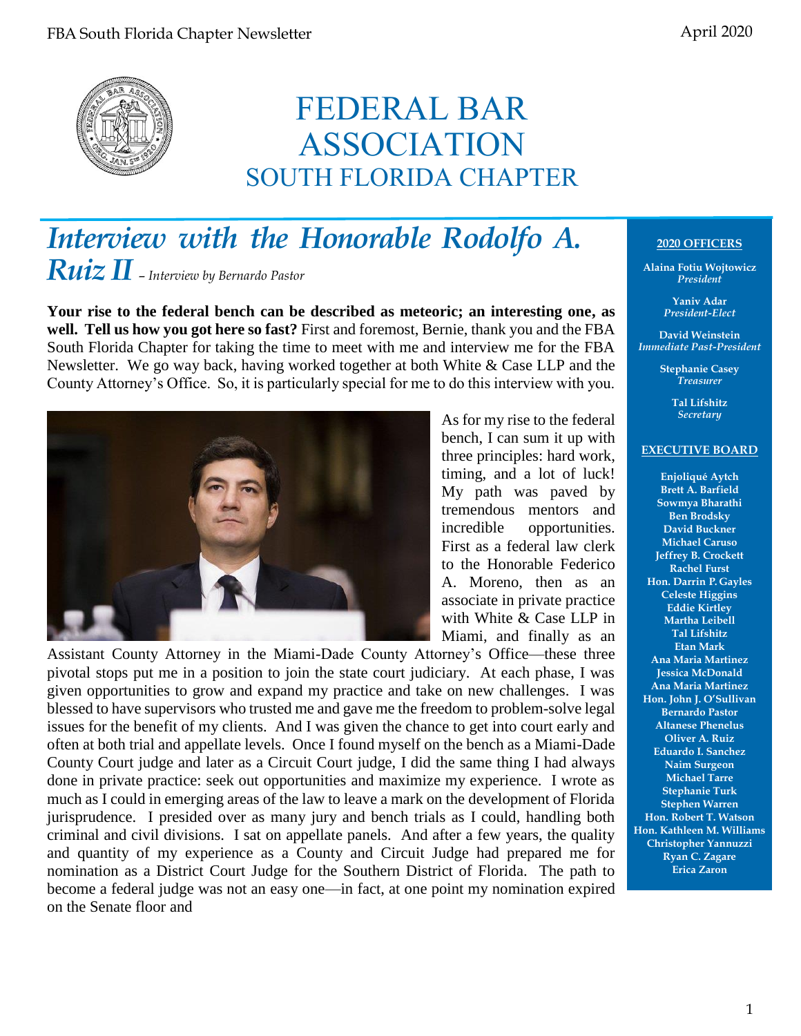# FEDERAL BAR ASSOCIATION SOUTH FLORIDA CHAPTER

# *Interview with the Honorable Rodolfo A. Ruiz II* – *Interview by Bernardo Pastor*

**Your rise to the federal bench can be described as meteoric; an interesting one, as well. Tell us how you got here so fast?** First and foremost, Bernie, thank you and the FBA South Florida Chapter for taking the time to meet with me and interview me for the FBA Newsletter. We go way back, having worked together at both White & Case LLP and the County Attorney's Office. So, it is particularly special for me to do this interview with you.



As for my rise to the federal bench, I can sum it up with three principles: hard work, timing, and a lot of luck! My path was paved by tremendous mentors and incredible opportunities. First as a federal law clerk to the Honorable Federico A. Moreno, then as an associate in private practice with White & Case LLP in Miami, and finally as an

Assistant County Attorney in the Miami-Dade County Attorney's Office—these three pivotal stops put me in a position to join the state court judiciary. At each phase, I was given opportunities to grow and expand my practice and take on new challenges. I was blessed to have supervisors who trusted me and gave me the freedom to problem-solve legal issues for the benefit of my clients. And I was given the chance to get into court early and often at both trial and appellate levels. Once I found myself on the bench as a Miami-Dade County Court judge and later as a Circuit Court judge, I did the same thing I had always done in private practice: seek out opportunities and maximize my experience. I wrote as much as I could in emerging areas of the law to leave a mark on the development of Florida jurisprudence. I presided over as many jury and bench trials as I could, handling both criminal and civil divisions. I sat on appellate panels. And after a few years, the quality and quantity of my experience as a County and Circuit Judge had prepared me for nomination as a District Court Judge for the Southern District of Florida. The path to become a federal judge was not an easy one—in fact, at one point my nomination expired on the Senate floor and

### **2020 OFFICERS**

**Alaina Fotiu Wojtowicz** *President*

> **Yaniv Adar** *President-Elect*

**David Weinstein** *Immediate Past-President*

> **Stephanie Casey** *Treasurer*

> > **Tal Lifshitz** *Secretary*

#### **EXECUTIVE BOARD**

**Enjoliqué Aytch Brett A. Barfield Sowmya Bharathi Ben Brodsky David Buckner Michael Caruso Jeffrey B. Crockett Rachel Furst Hon. Darrin P. Gayles Celeste Higgins Eddie Kirtley Martha Leibell Tal Lifshitz Etan Mark Ana Maria Martinez Jessica McDonald Ana Maria Martinez Hon. John J. O'Sullivan Bernardo Pastor Altanese Phenelus Oliver A. Ruiz Eduardo I. Sanchez Naim Surgeon Michael Tarre Stephanie Turk Stephen Warren Hon. Robert T. Watson Hon. Kathleen M. Williams Christopher Yannuzzi Ryan C. Zagare Erica Zaron**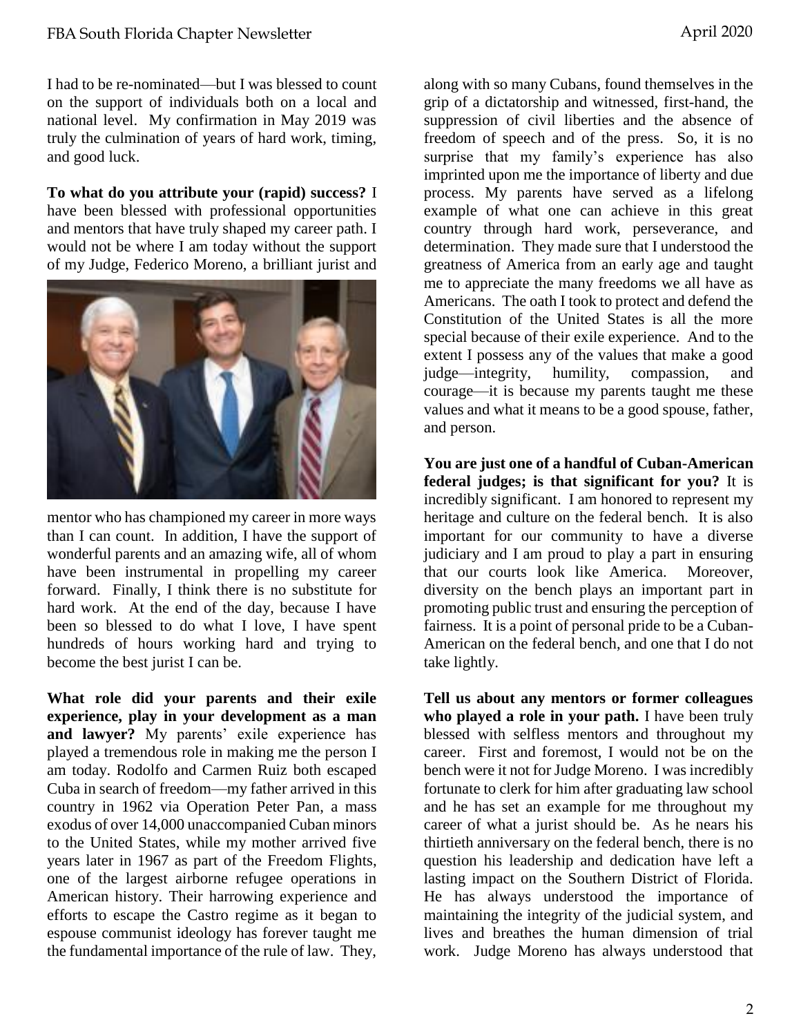I had to be re-nominated—but I was blessed to count on the support of individuals both on a local and national level. My confirmation in May 2019 was truly the culmination of years of hard work, timing, and good luck.

**To what do you attribute your (rapid) success?** I have been blessed with professional opportunities and mentors that have truly shaped my career path. I would not be where I am today without the support of my Judge, Federico Moreno, a brilliant jurist and



mentor who has championed my career in more ways than I can count. In addition, I have the support of wonderful parents and an amazing wife, all of whom have been instrumental in propelling my career forward. Finally, I think there is no substitute for hard work. At the end of the day, because I have been so blessed to do what I love, I have spent hundreds of hours working hard and trying to become the best jurist I can be.

**What role did your parents and their exile experience, play in your development as a man and lawyer?** My parents' exile experience has played a tremendous role in making me the person I am today. Rodolfo and Carmen Ruiz both escaped Cuba in search of freedom—my father arrived in this country in 1962 via Operation Peter Pan, a mass exodus of over 14,000 unaccompanied Cuban minors to the United States, while my mother arrived five years later in 1967 as part of the Freedom Flights, one of the largest airborne refugee operations in American history. Their harrowing experience and efforts to escape the Castro regime as it began to espouse communist ideology has forever taught me the fundamental importance of the rule of law. They,

along with so many Cubans, found themselves in the grip of a dictatorship and witnessed, first-hand, the suppression of civil liberties and the absence of freedom of speech and of the press. So, it is no surprise that my family's experience has also imprinted upon me the importance of liberty and due process. My parents have served as a lifelong example of what one can achieve in this great country through hard work, perseverance, and determination. They made sure that I understood the greatness of America from an early age and taught me to appreciate the many freedoms we all have as Americans. The oath I took to protect and defend the Constitution of the United States is all the more special because of their exile experience. And to the extent I possess any of the values that make a good judge—integrity, humility, compassion, and courage—it is because my parents taught me these values and what it means to be a good spouse, father, and person.

**You are just one of a handful of Cuban-American federal judges; is that significant for you?** It is incredibly significant. I am honored to represent my heritage and culture on the federal bench. It is also important for our community to have a diverse judiciary and I am proud to play a part in ensuring that our courts look like America. Moreover, diversity on the bench plays an important part in promoting public trust and ensuring the perception of fairness. It is a point of personal pride to be a Cuban-American on the federal bench, and one that I do not take lightly.

**Tell us about any mentors or former colleagues who played a role in your path.** I have been truly blessed with selfless mentors and throughout my career. First and foremost, I would not be on the bench were it not for Judge Moreno. I was incredibly fortunate to clerk for him after graduating law school and he has set an example for me throughout my career of what a jurist should be. As he nears his thirtieth anniversary on the federal bench, there is no question his leadership and dedication have left a lasting impact on the Southern District of Florida. He has always understood the importance of maintaining the integrity of the judicial system, and lives and breathes the human dimension of trial work. Judge Moreno has always understood that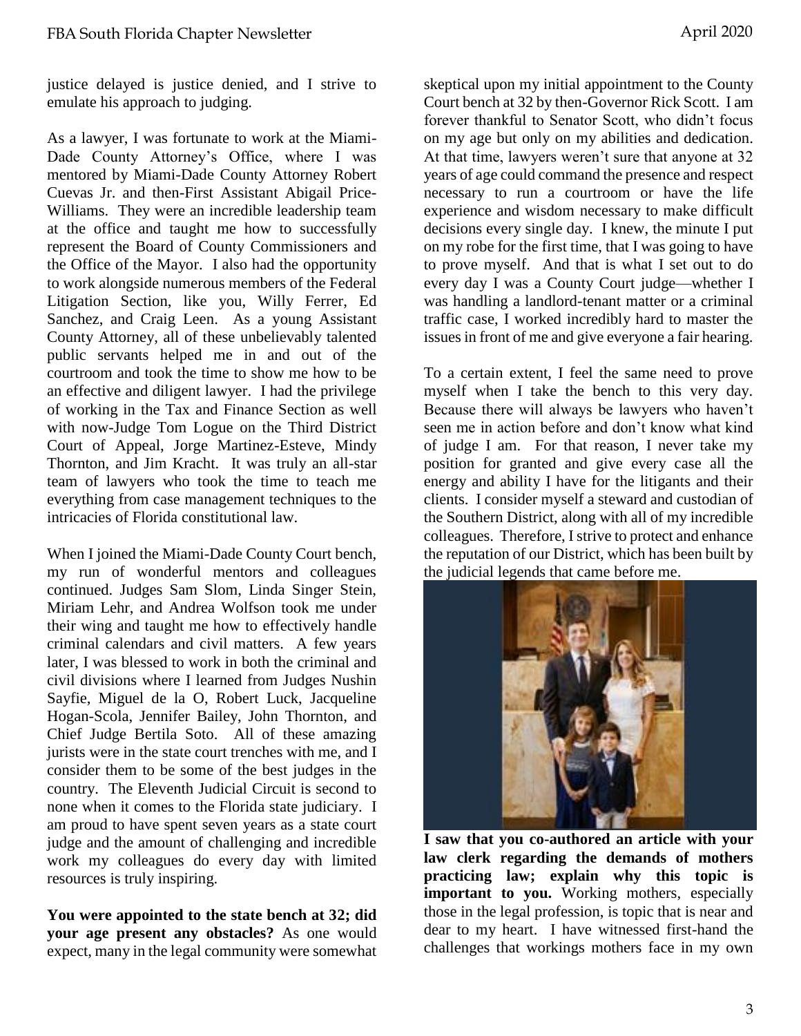justice delayed is justice denied, and I strive to emulate his approach to judging.

As a lawyer, I was fortunate to work at the Miami-Dade County Attorney's Office, where I was mentored by Miami-Dade County Attorney Robert Cuevas Jr. and then-First Assistant Abigail Price-Williams. They were an incredible leadership team at the office and taught me how to successfully represent the Board of County Commissioners and the Office of the Mayor. I also had the opportunity to work alongside numerous members of the Federal Litigation Section, like you, Willy Ferrer, Ed Sanchez, and Craig Leen. As a young Assistant County Attorney, all of these unbelievably talented public servants helped me in and out of the courtroom and took the time to show me how to be an effective and diligent lawyer. I had the privilege of working in the Tax and Finance Section as well with now-Judge Tom Logue on the Third District Court of Appeal, Jorge Martinez-Esteve, Mindy Thornton, and Jim Kracht. It was truly an all-star team of lawyers who took the time to teach me everything from case management techniques to the intricacies of Florida constitutional law.

When I joined the Miami-Dade County Court bench, my run of wonderful mentors and colleagues continued. Judges Sam Slom, Linda Singer Stein, Miriam Lehr, and Andrea Wolfson took me under their wing and taught me how to effectively handle criminal calendars and civil matters. A few years later, I was blessed to work in both the criminal and civil divisions where I learned from Judges Nushin Sayfie, Miguel de la O, Robert Luck, Jacqueline Hogan-Scola, Jennifer Bailey, John Thornton, and Chief Judge Bertila Soto. All of these amazing jurists were in the state court trenches with me, and I consider them to be some of the best judges in the country. The Eleventh Judicial Circuit is second to none when it comes to the Florida state judiciary. I am proud to have spent seven years as a state court judge and the amount of challenging and incredible work my colleagues do every day with limited resources is truly inspiring.

**You were appointed to the state bench at 32; did your age present any obstacles?** As one would expect, many in the legal community were somewhat skeptical upon my initial appointment to the County Court bench at 32 by then-Governor Rick Scott. I am forever thankful to Senator Scott, who didn't focus on my age but only on my abilities and dedication. At that time, lawyers weren't sure that anyone at 32 years of age could command the presence and respect necessary to run a courtroom or have the life experience and wisdom necessary to make difficult decisions every single day. I knew, the minute I put on my robe for the first time, that I was going to have to prove myself. And that is what I set out to do every day I was a County Court judge—whether I was handling a landlord-tenant matter or a criminal traffic case, I worked incredibly hard to master the issues in front of me and give everyone a fair hearing.

To a certain extent, I feel the same need to prove myself when I take the bench to this very day. Because there will always be lawyers who haven't seen me in action before and don't know what kind of judge I am. For that reason, I never take my position for granted and give every case all the energy and ability I have for the litigants and their clients. I consider myself a steward and custodian of the Southern District, along with all of my incredible colleagues. Therefore, I strive to protect and enhance the reputation of our District, which has been built by the judicial legends that came before me.



**I saw that you co-authored an article with your law clerk regarding the demands of mothers practicing law; explain why this topic is important to you.** Working mothers, especially those in the legal profession, is topic that is near and dear to my heart. I have witnessed first-hand the challenges that workings mothers face in my own